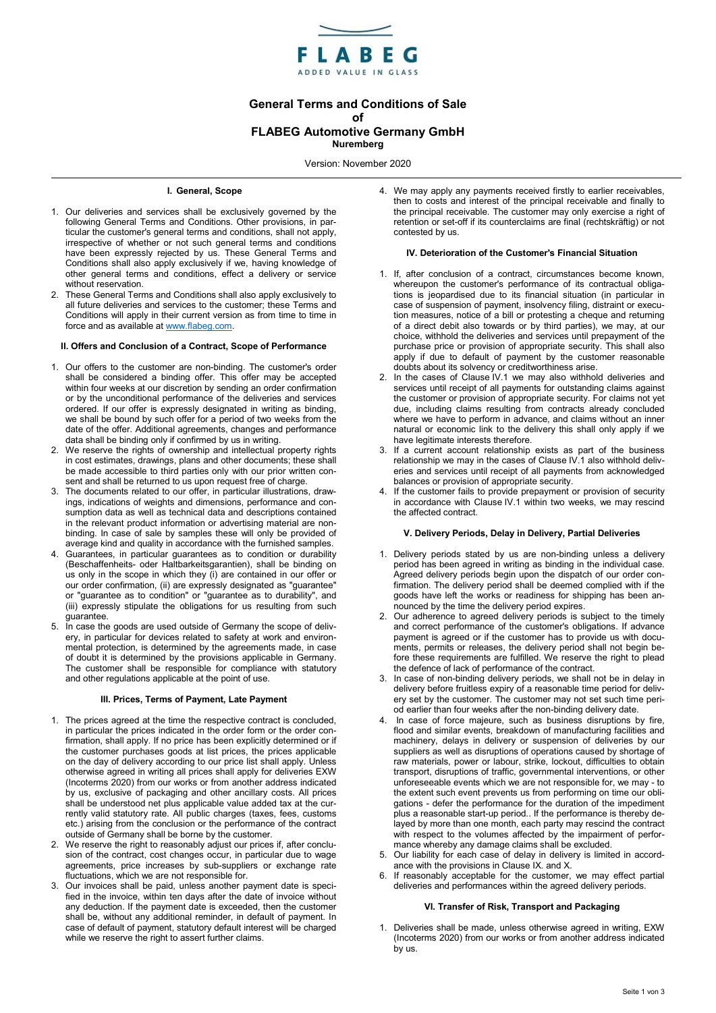

# General Terms and Conditions of Sale of FLABEG Automotive Germany GmbH

Nuremberg

Version: November 2020

## I. General, Scope

- 1. Our deliveries and services shall be exclusively governed by the following General Terms and Conditions. Other provisions, in particular the customer's general terms and conditions, shall not apply, irrespective of whether or not such general terms and conditions have been expressly rejected by us. These General Terms and Conditions shall also apply exclusively if we, having knowledge of other general terms and conditions, effect a delivery or service without reservation.
- 2. These General Terms and Conditions shall also apply exclusively to all future deliveries and services to the customer; these Terms and Conditions will apply in their current version as from time to time in force and as available at www.flabeg.com.

## II. Offers and Conclusion of a Contract, Scope of Performance

- 1. Our offers to the customer are non-binding. The customer's order shall be considered a binding offer. This offer may be accepted within four weeks at our discretion by sending an order confirmation or by the unconditional performance of the deliveries and services ordered. If our offer is expressly designated in writing as binding, we shall be bound by such offer for a period of two weeks from the date of the offer. Additional agreements, changes and performance data shall be binding only if confirmed by us in writing.
- 2. We reserve the rights of ownership and intellectual property rights in cost estimates, drawings, plans and other documents; these shall be made accessible to third parties only with our prior written consent and shall be returned to us upon request free of charge.
- 3. The documents related to our offer, in particular illustrations, drawings, indications of weights and dimensions, performance and consumption data as well as technical data and descriptions contained in the relevant product information or advertising material are nonbinding. In case of sale by samples these will only be provided of average kind and quality in accordance with the furnished samples.
- 4. Guarantees, in particular guarantees as to condition or durability (Beschaffenheits- oder Haltbarkeitsgarantien), shall be binding on us only in the scope in which they (i) are contained in our offer or our order confirmation, (ii) are expressly designated as "guarantee" or "guarantee as to condition" or "guarantee as to durability", and (iii) expressly stipulate the obligations for us resulting from such guarantee.
- 5. In case the goods are used outside of Germany the scope of delivery, in particular for devices related to safety at work and environmental protection, is determined by the agreements made, in case of doubt it is determined by the provisions applicable in Germany. The customer shall be responsible for compliance with statutory and other regulations applicable at the point of use.

#### III. Prices, Terms of Payment, Late Payment

- 1. The prices agreed at the time the respective contract is concluded, in particular the prices indicated in the order form or the order confirmation, shall apply. If no price has been explicitly determined or if the customer purchases goods at list prices, the prices applicable on the day of delivery according to our price list shall apply. Unless otherwise agreed in writing all prices shall apply for deliveries EXW (Incoterms 2020) from our works or from another address indicated by us, exclusive of packaging and other ancillary costs. All prices shall be understood net plus applicable value added tax at the currently valid statutory rate. All public charges (taxes, fees, customs etc.) arising from the conclusion or the performance of the contract outside of Germany shall be borne by the customer.
- We reserve the right to reasonably adjust our prices if, after conclusion of the contract, cost changes occur, in particular due to wage agreements, price increases by sub-suppliers or exchange rate fluctuations, which we are not responsible for.
- 3. Our invoices shall be paid, unless another payment date is specified in the invoice, within ten days after the date of invoice without any deduction. If the payment date is exceeded, then the customer shall be, without any additional reminder, in default of payment. In case of default of payment, statutory default interest will be charged while we reserve the right to assert further claims.

4. We may apply any payments received firstly to earlier receivables, then to costs and interest of the principal receivable and finally to the principal receivable. The customer may only exercise a right of retention or set-off if its counterclaims are final (rechtskräftig) or not contested by us.

#### IV. Deterioration of the Customer's Financial Situation

- 1. If, after conclusion of a contract, circumstances become known, whereupon the customer's performance of its contractual obligations is jeopardised due to its financial situation (in particular in case of suspension of payment, insolvency filing, distraint or execution measures, notice of a bill or protesting a cheque and returning of a direct debit also towards or by third parties), we may, at our choice, withhold the deliveries and services until prepayment of the purchase price or provision of appropriate security. This shall also apply if due to default of payment by the customer reasonable doubts about its solvency or creditworthiness arise.
- 2. In the cases of Clause IV.1 we may also withhold deliveries and services until receipt of all payments for outstanding claims against the customer or provision of appropriate security. For claims not yet due, including claims resulting from contracts already concluded where we have to perform in advance, and claims without an inner natural or economic link to the delivery this shall only apply if we have legitimate interests therefore.
- 3. If a current account relationship exists as part of the business relationship we may in the cases of Clause IV.1 also withhold deliveries and services until receipt of all payments from acknowledged balances or provision of appropriate security.
- If the customer fails to provide prepayment or provision of security in accordance with Clause IV.1 within two weeks, we may rescind the affected contract.

# V. Delivery Periods, Delay in Delivery, Partial Deliveries

- 1. Delivery periods stated by us are non-binding unless a delivery period has been agreed in writing as binding in the individual case. Agreed delivery periods begin upon the dispatch of our order confirmation. The delivery period shall be deemed complied with if the goods have left the works or readiness for shipping has been announced by the time the delivery period expires.
- 2. Our adherence to agreed delivery periods is subject to the timely and correct performance of the customer's obligations. If advance payment is agreed or if the customer has to provide us with documents, permits or releases, the delivery period shall not begin before these requirements are fulfilled. We reserve the right to plead the defence of lack of performance of the contract.
- 3. In case of non-binding delivery periods, we shall not be in delay in delivery before fruitless expiry of a reasonable time period for delivery set by the customer. The customer may not set such time period earlier than four weeks after the non-binding delivery date.
- 4. In case of force majeure, such as business disruptions by fire, flood and similar events, breakdown of manufacturing facilities and machinery, delays in delivery or suspension of deliveries by our suppliers as well as disruptions of operations caused by shortage of raw materials, power or labour, strike, lockout, difficulties to obtain transport, disruptions of traffic, governmental interventions, or other unforeseeable events which we are not responsible for, we may - to the extent such event prevents us from performing on time our obligations - defer the performance for the duration of the impediment plus a reasonable start-up period.. If the performance is thereby delayed by more than one month, each party may rescind the contract with respect to the volumes affected by the impairment of performance whereby any damage claims shall be excluded.
- 5. Our liability for each case of delay in delivery is limited in accordance with the provisions in Clause IX. and X.
- 6. If reasonably acceptable for the customer, we may effect partial deliveries and performances within the agreed delivery periods.

#### VI. Transfer of Risk, Transport and Packaging

1. Deliveries shall be made, unless otherwise agreed in writing, EXW (Incoterms 2020) from our works or from another address indicated by us.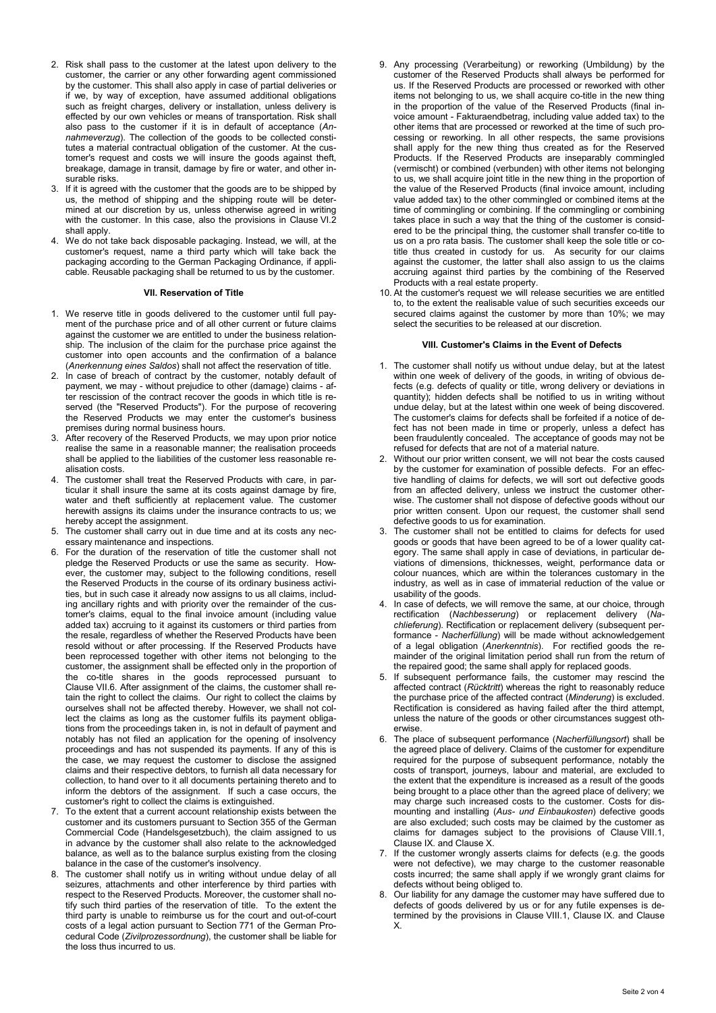- 2. Risk shall pass to the customer at the latest upon delivery to the customer, the carrier or any other forwarding agent commissioned by the customer. This shall also apply in case of partial deliveries or if we, by way of exception, have assumed additional obligations such as freight charges, delivery or installation, unless delivery is effected by our own vehicles or means of transportation. Risk shall also pass to the customer if it is in default of acceptance (Annahmeverzug). The collection of the goods to be collected constitutes a material contractual obligation of the customer. At the customer's request and costs we will insure the goods against theft, breakage, damage in transit, damage by fire or water, and other insurable risks.
- 3. If it is agreed with the customer that the goods are to be shipped by us, the method of shipping and the shipping route will be determined at our discretion by us, unless otherwise agreed in writing with the customer. In this case, also the provisions in Clause VI.2 shall apply.
- 4. We do not take back disposable packaging. Instead, we will, at the customer's request, name a third party which will take back the packaging according to the German Packaging Ordinance, if applicable. Reusable packaging shall be returned to us by the customer.

## VII. Reservation of Title

- 1. We reserve title in goods delivered to the customer until full payment of the purchase price and of all other current or future claims against the customer we are entitled to under the business relationship. The inclusion of the claim for the purchase price against the customer into open accounts and the confirmation of a balance (Anerkennung eines Saldos) shall not affect the reservation of title.
- 2. In case of breach of contract by the customer, notably default of payment, we may - without prejudice to other (damage) claims - after rescission of the contract recover the goods in which title is reserved (the "Reserved Products"). For the purpose of recovering the Reserved Products we may enter the customer's business premises during normal business hours.
- 3. After recovery of the Reserved Products, we may upon prior notice realise the same in a reasonable manner; the realisation proceeds shall be applied to the liabilities of the customer less reasonable realisation costs.
- 4. The customer shall treat the Reserved Products with care, in particular it shall insure the same at its costs against damage by fire, water and theft sufficiently at replacement value. The customer herewith assigns its claims under the insurance contracts to us; we hereby accept the assignment.
- 5. The customer shall carry out in due time and at its costs any necessary maintenance and inspections.
- 6. For the duration of the reservation of title the customer shall not pledge the Reserved Products or use the same as security. However, the customer may, subject to the following conditions, resell the Reserved Products in the course of its ordinary business activities, but in such case it already now assigns to us all claims, including ancillary rights and with priority over the remainder of the customer's claims, equal to the final invoice amount (including value added tax) accruing to it against its customers or third parties from the resale, regardless of whether the Reserved Products have been resold without or after processing. If the Reserved Products have been reprocessed together with other items not belonging to the customer, the assignment shall be effected only in the proportion of the co-title shares in the goods reprocessed pursuant to Clause VII.6. After assignment of the claims, the customer shall retain the right to collect the claims. Our right to collect the claims by ourselves shall not be affected thereby. However, we shall not collect the claims as long as the customer fulfils its payment obligations from the proceedings taken in, is not in default of payment and notably has not filed an application for the opening of insolvency proceedings and has not suspended its payments. If any of this is the case, we may request the customer to disclose the assigned claims and their respective debtors, to furnish all data necessary for collection, to hand over to it all documents pertaining thereto and to inform the debtors of the assignment. If such a case occurs, the customer's right to collect the claims is extinguished.
- 7. To the extent that a current account relationship exists between the customer and its customers pursuant to Section 355 of the German Commercial Code (Handelsgesetzbuch), the claim assigned to us in advance by the customer shall also relate to the acknowledged balance, as well as to the balance surplus existing from the closing balance in the case of the customer's insolvency.
- 8. The customer shall notify us in writing without undue delay of all seizures, attachments and other interference by third parties with respect to the Reserved Products. Moreover, the customer shall notify such third parties of the reservation of title. To the extent the third party is unable to reimburse us for the court and out-of-court costs of a legal action pursuant to Section 771 of the German Procedural Code (Zivilprozessordnung), the customer shall be liable for the loss thus incurred to us.
- 9. Any processing (Verarbeitung) or reworking (Umbildung) by the customer of the Reserved Products shall always be performed for us. If the Reserved Products are processed or reworked with other items not belonging to us, we shall acquire co-title in the new thing in the proportion of the value of the Reserved Products (final invoice amount - Fakturaendbetrag, including value added tax) to the other items that are processed or reworked at the time of such processing or reworking. In all other respects, the same provisions shall apply for the new thing thus created as for the Reserved Products. If the Reserved Products are inseparably commingled (vermischt) or combined (verbunden) with other items not belonging to us, we shall acquire joint title in the new thing in the proportion of the value of the Reserved Products (final invoice amount, including value added tax) to the other commingled or combined items at the time of commingling or combining. If the commingling or combining takes place in such a way that the thing of the customer is considered to be the principal thing, the customer shall transfer co-title to us on a pro rata basis. The customer shall keep the sole title or cotitle thus created in custody for us. As security for our claims against the customer, the latter shall also assign to us the claims accruing against third parties by the combining of the Reserved Products with a real estate property.
- 10. At the customer's request we will release securities we are entitled to, to the extent the realisable value of such securities exceeds our secured claims against the customer by more than 10%; we may select the securities to be released at our discretion.

#### VIII. Customer's Claims in the Event of Defects

- 1. The customer shall notify us without undue delay, but at the latest within one week of delivery of the goods, in writing of obvious defects (e.g. defects of quality or title, wrong delivery or deviations in quantity); hidden defects shall be notified to us in writing without undue delay, but at the latest within one week of being discovered. The customer's claims for defects shall be forfeited if a notice of defect has not been made in time or properly, unless a defect has been fraudulently concealed. The acceptance of goods may not be refused for defects that are not of a material nature.
- 2. Without our prior written consent, we will not bear the costs caused by the customer for examination of possible defects. For an effective handling of claims for defects, we will sort out defective goods from an affected delivery, unless we instruct the customer otherwise. The customer shall not dispose of defective goods without our prior written consent. Upon our request, the customer shall send defective goods to us for examination.
- 3. The customer shall not be entitled to claims for defects for used goods or goods that have been agreed to be of a lower quality category. The same shall apply in case of deviations, in particular deviations of dimensions, thicknesses, weight, performance data or colour nuances, which are within the tolerances customary in the industry, as well as in case of immaterial reduction of the value or usability of the goods.
- 4. In case of defects, we will remove the same, at our choice, through rectification (Nachbesserung) or replacement delivery (Nachlieferung). Rectification or replacement delivery (subsequent performance - Nacherfüllung) will be made without acknowledgement of a legal obligation (Anerkenntnis). For rectified goods the remainder of the original limitation period shall run from the return of the repaired good; the same shall apply for replaced goods.
- 5. If subsequent performance fails, the customer may rescind the affected contract (Rücktritt) whereas the right to reasonably reduce the purchase price of the affected contract (Minderung) is excluded. Rectification is considered as having failed after the third attempt, unless the nature of the goods or other circumstances suggest otherwise.
- 6. The place of subsequent performance (Nacherfüllungsort) shall be the agreed place of delivery. Claims of the customer for expenditure required for the purpose of subsequent performance, notably the costs of transport, journeys, labour and material, are excluded to the extent that the expenditure is increased as a result of the goods being brought to a place other than the agreed place of delivery; we may charge such increased costs to the customer. Costs for dismounting and installing (Aus- und Einbaukosten) defective goods are also excluded; such costs may be claimed by the customer as claims for damages subject to the provisions of Clause VIII.1, Clause IX. and Clause X.
- 7. If the customer wrongly asserts claims for defects (e.g. the goods were not defective), we may charge to the customer reasonable costs incurred; the same shall apply if we wrongly grant claims for defects without being obliged to.
- 8. Our liability for any damage the customer may have suffered due to defects of goods delivered by us or for any futile expenses is determined by the provisions in Clause VIII.1, Clause IX. and Clause X.